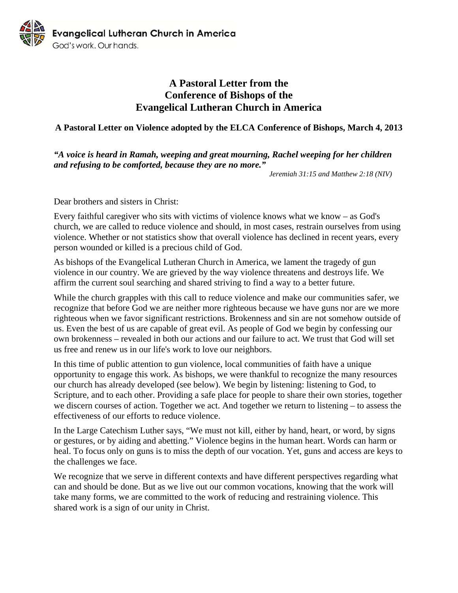

## **A Pastoral Letter from the Conference of Bishops of the Evangelical Lutheran Church in America**

## **A Pastoral Letter on Violence adopted by the ELCA Conference of Bishops, March 4, 2013**

## *"A voice is heard in Ramah, weeping and great mourning, Rachel weeping for her children and refusing to be comforted, because they are no more."*

*Jeremiah 31:15 and Matthew 2:18 (NIV)* 

Dear brothers and sisters in Christ:

Every faithful caregiver who sits with victims of violence knows what we know – as God's church, we are called to reduce violence and should, in most cases, restrain ourselves from using violence. Whether or not statistics show that overall violence has declined in recent years, every person wounded or killed is a precious child of God.

As bishops of the Evangelical Lutheran Church in America, we lament the tragedy of gun violence in our country. We are grieved by the way violence threatens and destroys life. We affirm the current soul searching and shared striving to find a way to a better future.

While the church grapples with this call to reduce violence and make our communities safer, we recognize that before God we are neither more righteous because we have guns nor are we more righteous when we favor significant restrictions. Brokenness and sin are not somehow outside of us. Even the best of us are capable of great evil. As people of God we begin by confessing our own brokenness – revealed in both our actions and our failure to act. We trust that God will set us free and renew us in our life's work to love our neighbors.

In this time of public attention to gun violence, local communities of faith have a unique opportunity to engage this work. As bishops, we were thankful to recognize the many resources our church has already developed (see below). We begin by listening: listening to God, to Scripture, and to each other. Providing a safe place for people to share their own stories, together we discern courses of action. Together we act. And together we return to listening – to assess the effectiveness of our efforts to reduce violence.

In the Large Catechism Luther says, "We must not kill, either by hand, heart, or word, by signs or gestures, or by aiding and abetting." Violence begins in the human heart. Words can harm or heal. To focus only on guns is to miss the depth of our vocation. Yet, guns and access are keys to the challenges we face.

We recognize that we serve in different contexts and have different perspectives regarding what can and should be done. But as we live out our common vocations, knowing that the work will take many forms, we are committed to the work of reducing and restraining violence. This shared work is a sign of our unity in Christ.